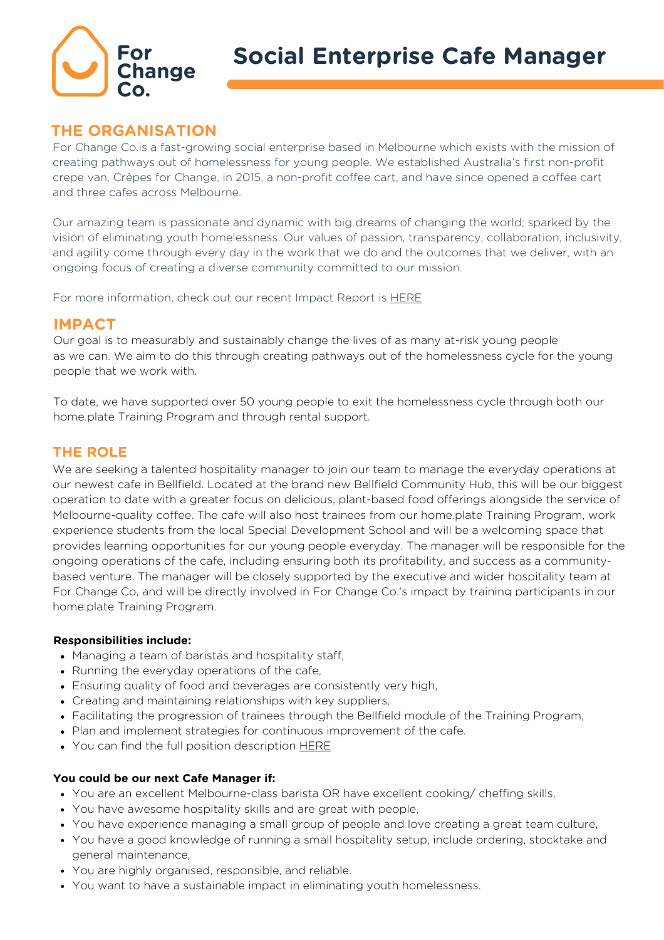

# **THE ORGANISATION**

For Change Co.is a fast-growing social enterprise based in Melbourne which exists with the mission of creating pathways out of homelessness for young people. We established Australia's first non-profit crepe van, Crêpes for Change, in 2015, a non-profit coffee cart, and have since opened a coffee cart and three cafes across Melbourne.

Our amazing team is passionate and dynamic with big dreams of changing the world; sparked by the vision of eliminating youth homelessness. Our values of passion, transparency, collaboration, inclusivity, and agility come through every day in the work that we do and the outcomes that we deliver, with an ongoing focus of creating a diverse community committed to our mission.

For more information, check out our recent Impact Report is **[HERE](https://forchangeco.com.au/wp-content/uploads/2022/02/FCC_Annual_Report_FY2021_v8_DIGITAL-1.pdf)** 

### **IMPACT**

Our goal is to measurably and sustainably change the lives of as many at-risk young people as we can. We aim to do this through creating pathways out of the homelessness cycle for the young people that we work with.

To date, we have supported over 50 young people to exit the homelessness cycle through both our home.plate Training Program and through rental support.

## **THE ROLE**

We are seeking a talented hospitality manager to join our team to manage the everyday operations at our newest cafe in Bellfield. Located at the brand new Bellfield Community Hub, this will be our biggest operation to date with a greater focus on delicious, plant-based food offerings alongside the service of Melbourne-quality coffee. The cafe will also host trainees from our home.plate Training Program, work experience students from the local Special Development School and will be a welcoming space that provides learning opportunities for our young people everyday. The manager will be responsible for the ongoing operations of the cafe, including ensuring both its profitability, and success as a communitybased venture. The manager will be closely supported by the executive and wider hospitality team at For Change Co, and will be directly involved in For Change Co.'s impact by training participants in our home.plate Training Program.

#### **Responsibilities include:**

- Managing a team of baristas and hospitality staff,
- Running the everyday operations of the cafe,
- Ensuring quality of food and beverages are consistently very high,
- Creating and maintaining relationships with key suppliers,
- Facilitating the progression of trainees through the Bellfield module of the Training Program,
- Plan and implement strategies for continuous improvement of the cafe.
- You can find the full position description **[HERE](https://forchangeco.com.au/wp-content/uploads/2022/06/Bellfield_June2022_ManagerPD-.pdf)**

#### **You could be our next Cafe Manager if:**

- You are an excellent Melbourne-class barista OR have excellent cooking/ cheffing skills,
- You have awesome hospitality skills and are great with people,
- You have experience managing a small group of people and love creating a great team culture,
- You have a good knowledge of running a small hospitality setup, include ordering, stocktake and general maintenance,
- You are highly organised, responsible, and reliable.
- You want to have a sustainable impact in eliminating youth homelessness.